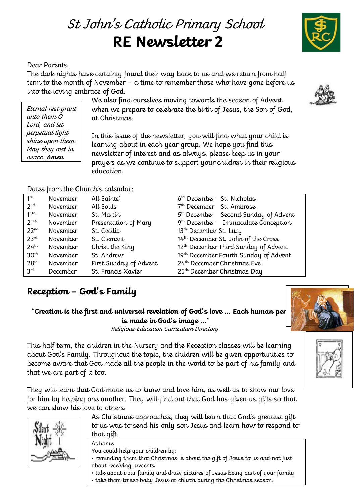# St John' s Catholic Primary School **RE Newsletter 2**

#### Dear Parents,

Eternal rest grant unto them O Lord, and let perpetual light shine upon them. May they rest in peace. **Amen**

The dark nights have certainly found their way back to us and we return from half term to the month of November – a time to remember those who have gone before us into the loving embrace of God.

We also find ourselves moving towards the season of Advent when we prepare to celebrate the birth of Jesus, the Son of God, at Christmas.

In this issue of the newsletter, you will find what your child is learning about in each year group. We hope you find this newsletter of interest and as always, please keep us in your prayers as we continue to support your children in their religious education.

#### Dates from the Church's calendar:

| 1 <sup>st</sup>  | <b>November</b> | All Saints'            | 6 <sup>th</sup> December St. Nicholas            |
|------------------|-----------------|------------------------|--------------------------------------------------|
| 2 <sub>nd</sub>  | <b>November</b> | All Souls              | 7 <sup>th</sup> December St. Ambrose             |
| 11 <sup>th</sup> | <b>November</b> | St. Martin             | 5 <sup>th</sup> December Second Sunday of Advent |
| $21^{st}$        | <b>November</b> | Presentation of Mary   | 9 <sup>th</sup> December Immaculate Conception   |
| $22^{nd}$        | <b>November</b> | St. Cecilia            | 13 <sup>th</sup> December St. Lucy               |
| 23 <sup>rd</sup> | <b>November</b> | St. Clement            | 14th December St. John of the Cross              |
| 24 <sup>th</sup> | <b>November</b> | Christ the King        | 12 <sup>th</sup> December Third Sunday of Advent |
| 30 <sup>th</sup> | <b>November</b> | St. Andrew             | 19th December Fourth Sunday of Advent            |
| 28 <sup>th</sup> | <b>November</b> | First Sunday of Advent | 24th December Christmas Eve                      |
| 3 <sup>rd</sup>  | <b>December</b> | St. Francis Xavier     | 25 <sup>th</sup> December Christmas Day          |

## **Reception – God's Family**

### "Creation is the first and universal revelation of God's love ... Each human per **is made in God's image …**"

Religious Education Curriculum Directory

This half term, the children in the Nursery and the Reception classes will be learning about God's Family. Throughout the topic, the children will be given opportunities to become aware that God made all the people in the world to be part of his family and that we are part of it too.

They will learn that God made us to know and love him, as well as to show our love for him by helping one another. They will find out that God has given us gifts so that we can show his love to others.



As Christmas approaches, they will learn that God's greatest gift to us was to send his only son Jesus and learn how to respond to that gift.

At home You could help your children by:

- reminding them that Christmas is about the gift of Jesus to us and not just about receiving presents.
- talk about your family and draw pictures of Jesus being part of your family
- take them to see baby Jesus at church during the Christmas season.







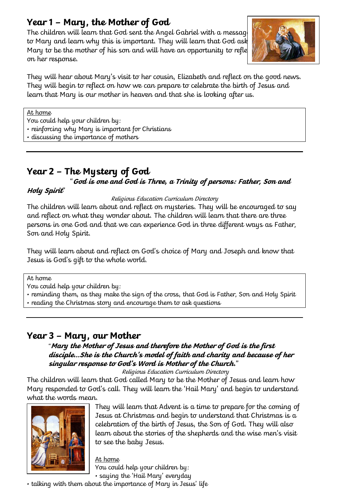# **Year 1 – Mary, the Mother of God**

The children will learn that God sent the Angel Gabriel with a messag to Mary and learn why this is important. They will learn that God ask Mary to be the mother of his son and will have an opportunity to refle on her response.



They will hear about Mary's visit to her cousin, Elizabeth and reflect on the good news. They will begin to reflect on how we can prepare to celebrate the birth of Jesus and learn that Mary is our mother in heaven and that she is looking after us.

At home

You could help your children by:

• reinforcing why Mary is important for Christians

• discussing the importance of mothers

# **Year 2 – The Mystery of God**

### "**God is one and God is Three, a Trinity of persons: Father, Son and**

#### **Holy Spirit**"

#### Religious Education Curriculum Directory

The children will learn about and reflect on mysteries. They will be encouraged to say and reflect on what they wonder about. The children will learn that there are three persons in one God and that we can experience God in three different ways as Father, Son and Holy Spirit.

They will learn about and reflect on God's choice of Mary and Joseph and know that Jesus is God's gift to the whole world.

At home

You could help your children by:

• reminding them, as they make the sign of the cross, that God is Father, Son and Holy Spirit

• reading the Christmas story and encourage them to ask questions

### **Year 3 – Mary, our Mother**

### "**Mary the Mother of Jesus and therefore the Mother of God is the first disciple…She is the Church's model of faith and charity and because of her singular response to God's Word is Mother of the Church.**"

Religious Education Curriculum Directory

The children will learn that God called Mary to be the Mother of Jesus and learn how Mary responded to God's call. They will learn the 'Hail Mary' and begin to understand what the words mean.



They will learn that Advent is a time to prepare for the coming of Jesus at Christmas and begin to understand that Christmas is a celebration of the birth of Jesus, the Son of God. They will also learn about the stories of the shepherds and the wise men's visit to see the baby Jesus.

At home You could help your children by: • saying the 'Hail Mary' everyday

• talking with them about the importance of Mary in Jesus' life